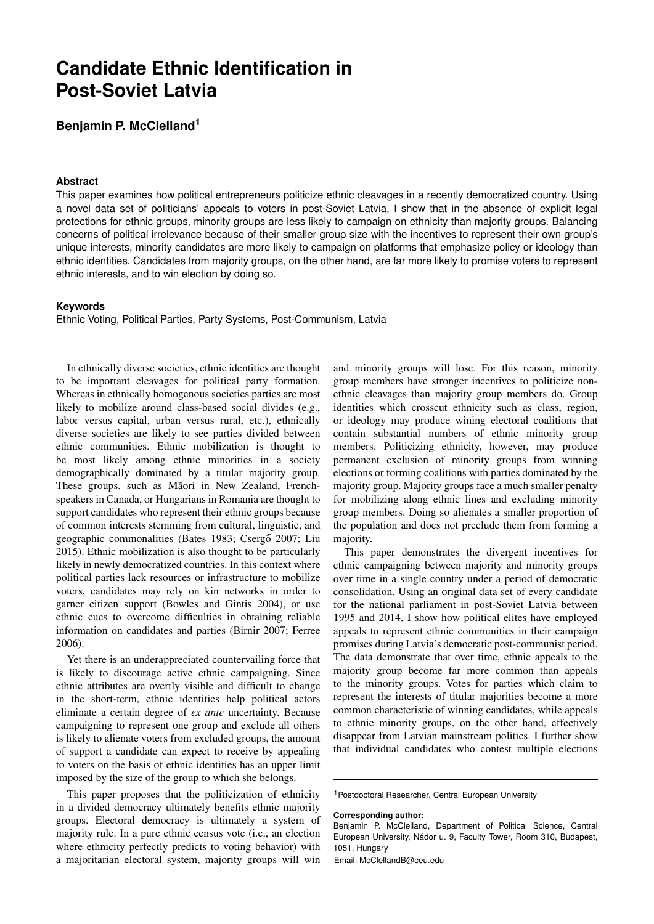# **Candidate Ethnic Identification in Post-Soviet Latvia**

**Benjamin P. McClelland<sup>1</sup>**

#### **Abstract**

This paper examines how political entrepreneurs politicize ethnic cleavages in a recently democratized country. Using a novel data set of politicians' appeals to voters in post-Soviet Latvia, I show that in the absence of explicit legal protections for ethnic groups, minority groups are less likely to campaign on ethnicity than majority groups. Balancing concerns of political irrelevance because of their smaller group size with the incentives to represent their own group's unique interests, minority candidates are more likely to campaign on platforms that emphasize policy or ideology than ethnic identities. Candidates from majority groups, on the other hand, are far more likely to promise voters to represent ethnic interests, and to win election by doing so.

# **Keywords**

Ethnic Voting, Political Parties, Party Systems, Post-Communism, Latvia

In ethnically diverse societies, ethnic identities are thought to be important cleavages for political party formation. Whereas in ethnically homogenous societies parties are most likely to mobilize around class-based social divides (e.g., labor versus capital, urban versus rural, etc.), ethnically diverse societies are likely to see parties divided between ethnic communities. Ethnic mobilization is thought to be most likely among ethnic minorities in a society demographically dominated by a titular majority group. These groups, such as Māori in New Zealand, Frenchspeakers in Canada, or Hungarians in Romania are thought to support candidates who represent their ethnic groups because of common interests stemming from cultural, linguistic, and geographic commonalities [\(Bates](#page-9-0) [1983;](#page-9-0) Csergő [2007;](#page-9-1) [Liu](#page-9-2) [2015\)](#page-9-2). Ethnic mobilization is also thought to be particularly likely in newly democratized countries. In this context where political parties lack resources or infrastructure to mobilize voters, candidates may rely on kin networks in order to garner citizen support [\(Bowles and Gintis](#page-9-3) [2004\)](#page-9-3), or use ethnic cues to overcome difficulties in obtaining reliable information on candidates and parties [\(Birnir](#page-9-4) [2007;](#page-9-4) [Ferree](#page-9-5) [2006\)](#page-9-5).

Yet there is an underappreciated countervailing force that is likely to discourage active ethnic campaigning. Since ethnic attributes are overtly visible and difficult to change in the short-term, ethnic identities help political actors eliminate a certain degree of *ex ante* uncertainty. Because campaigning to represent one group and exclude all others is likely to alienate voters from excluded groups, the amount of support a candidate can expect to receive by appealing to voters on the basis of ethnic identities has an upper limit imposed by the size of the group to which she belongs.

This paper proposes that the politicization of ethnicity in a divided democracy ultimately benefits ethnic majority groups. Electoral democracy is ultimately a system of majority rule. In a pure ethnic census vote (i.e., an election where ethnicity perfectly predicts to voting behavior) with a majoritarian electoral system, majority groups will win

and minority groups will lose. For this reason, minority group members have stronger incentives to politicize nonethnic cleavages than majority group members do. Group identities which crosscut ethnicity such as class, region, or ideology may produce wining electoral coalitions that contain substantial numbers of ethnic minority group members. Politicizing ethnicity, however, may produce permanent exclusion of minority groups from winning elections or forming coalitions with parties dominated by the majority group. Majority groups face a much smaller penalty for mobilizing along ethnic lines and excluding minority group members. Doing so alienates a smaller proportion of the population and does not preclude them from forming a majority.

This paper demonstrates the divergent incentives for ethnic campaigning between majority and minority groups over time in a single country under a period of democratic consolidation. Using an original data set of every candidate for the national parliament in post-Soviet Latvia between 1995 and 2014, I show how political elites have employed appeals to represent ethnic communities in their campaign promises during Latvia's democratic post-communist period. The data demonstrate that over time, ethnic appeals to the majority group become far more common than appeals to the minority groups. Votes for parties which claim to represent the interests of titular majorities become a more common characteristic of winning candidates, while appeals to ethnic minority groups, on the other hand, effectively disappear from Latvian mainstream politics. I further show that individual candidates who contest multiple elections

#### **Corresponding author:**

Email: [McClellandB@ceu.edu](mailto:McClellandB@ceu.edu)

<sup>1</sup>Postdoctoral Researcher, Central European University

Benjamin P. McClelland, Department of Political Science, Central European University, Nádor u. 9, Faculty Tower, Room 310, Budapest, 1051, Hungary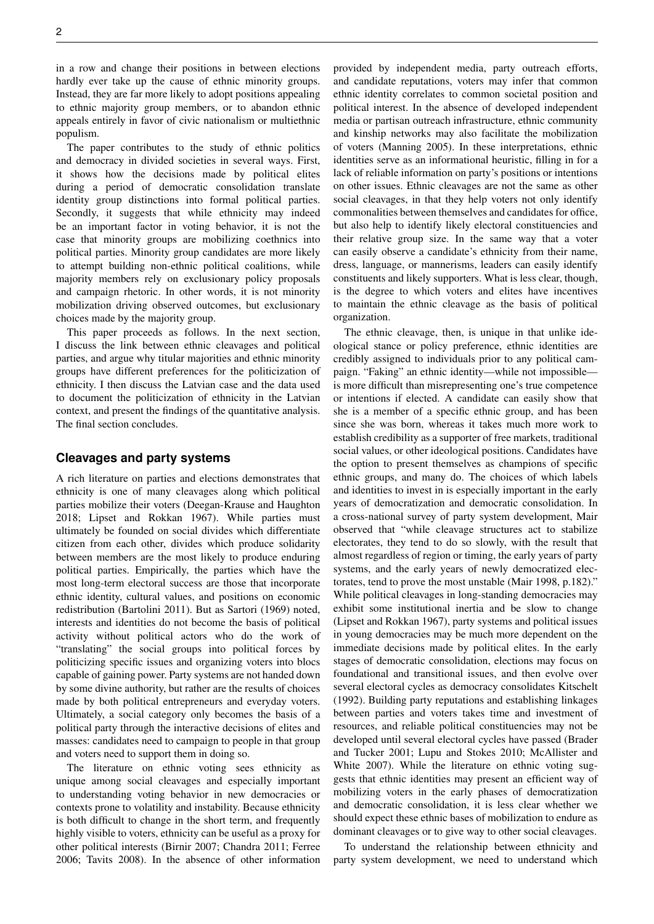in a row and change their positions in between elections hardly ever take up the cause of ethnic minority groups. Instead, they are far more likely to adopt positions appealing to ethnic majority group members, or to abandon ethnic appeals entirely in favor of civic nationalism or multiethnic populism.

The paper contributes to the study of ethnic politics and democracy in divided societies in several ways. First, it shows how the decisions made by political elites during a period of democratic consolidation translate identity group distinctions into formal political parties. Secondly, it suggests that while ethnicity may indeed be an important factor in voting behavior, it is not the case that minority groups are mobilizing coethnics into political parties. Minority group candidates are more likely to attempt building non-ethnic political coalitions, while majority members rely on exclusionary policy proposals and campaign rhetoric. In other words, it is not minority mobilization driving observed outcomes, but exclusionary choices made by the majority group.

This paper proceeds as follows. In the next section, I discuss the link between ethnic cleavages and political parties, and argue why titular majorities and ethnic minority groups have different preferences for the politicization of ethnicity. I then discuss the Latvian case and the data used to document the politicization of ethnicity in the Latvian context, and present the findings of the quantitative analysis. The final section concludes.

## **Cleavages and party systems**

A rich literature on parties and elections demonstrates that ethnicity is one of many cleavages along which political parties mobilize their voters [\(Deegan-Krause and Haughton](#page-9-6) [2018;](#page-9-6) [Lipset and Rokkan](#page-9-7) [1967\)](#page-9-7). While parties must ultimately be founded on social divides which differentiate citizen from each other, divides which produce solidarity between members are the most likely to produce enduring political parties. Empirically, the parties which have the most long-term electoral success are those that incorporate ethnic identity, cultural values, and positions on economic redistribution [\(Bartolini](#page-9-8) [2011\)](#page-9-8). But as [Sartori](#page-10-0) [\(1969\)](#page-10-0) noted, interests and identities do not become the basis of political activity without political actors who do the work of "translating" the social groups into political forces by politicizing specific issues and organizing voters into blocs capable of gaining power. Party systems are not handed down by some divine authority, but rather are the results of choices made by both political entrepreneurs and everyday voters. Ultimately, a social category only becomes the basis of a political party through the interactive decisions of elites and masses: candidates need to campaign to people in that group and voters need to support them in doing so.

The literature on ethnic voting sees ethnicity as unique among social cleavages and especially important to understanding voting behavior in new democracies or contexts prone to volatility and instability. Because ethnicity is both difficult to change in the short term, and frequently highly visible to voters, ethnicity can be useful as a proxy for other political interests [\(Birnir](#page-9-4) [2007;](#page-9-4) [Chandra](#page-9-9) [2011;](#page-9-9) [Ferree](#page-9-5) [2006;](#page-9-5) [Tavits](#page-10-1) [2008\)](#page-10-1). In the absence of other information provided by independent media, party outreach efforts, and candidate reputations, voters may infer that common ethnic identity correlates to common societal position and political interest. In the absence of developed independent media or partisan outreach infrastructure, ethnic community and kinship networks may also facilitate the mobilization of voters [\(Manning](#page-9-10) [2005\)](#page-9-10). In these interpretations, ethnic identities serve as an informational heuristic, filling in for a lack of reliable information on party's positions or intentions on other issues. Ethnic cleavages are not the same as other social cleavages, in that they help voters not only identify commonalities between themselves and candidates for office, but also help to identify likely electoral constituencies and their relative group size. In the same way that a voter can easily observe a candidate's ethnicity from their name, dress, language, or mannerisms, leaders can easily identify constituents and likely supporters. What is less clear, though, is the degree to which voters and elites have incentives to maintain the ethnic cleavage as the basis of political organization.

The ethnic cleavage, then, is unique in that unlike ideological stance or policy preference, ethnic identities are credibly assigned to individuals prior to any political campaign. "Faking" an ethnic identity—while not impossible is more difficult than misrepresenting one's true competence or intentions if elected. A candidate can easily show that she is a member of a specific ethnic group, and has been since she was born, whereas it takes much more work to establish credibility as a supporter of free markets, traditional social values, or other ideological positions. Candidates have the option to present themselves as champions of specific ethnic groups, and many do. The choices of which labels and identities to invest in is especially important in the early years of democratization and democratic consolidation. In a cross-national survey of party system development, Mair observed that "while cleavage structures act to stabilize electorates, they tend to do so slowly, with the result that almost regardless of region or timing, the early years of party systems, and the early years of newly democratized electorates, tend to prove the most unstable [\(Mair](#page-9-11) [1998,](#page-9-11) p.182)." While political cleavages in long-standing democracies may exhibit some institutional inertia and be slow to change [\(Lipset and Rokkan](#page-9-7) [1967\)](#page-9-7), party systems and political issues in young democracies may be much more dependent on the immediate decisions made by political elites. In the early stages of democratic consolidation, elections may focus on foundational and transitional issues, and then evolve over several electoral cycles as democracy consolidates [Kitschelt](#page-9-12) [\(1992\)](#page-9-12). Building party reputations and establishing linkages between parties and voters takes time and investment of resources, and reliable political constituencies may not be developed until several electoral cycles have passed [\(Brader](#page-9-13) [and Tucker](#page-9-13) [2001;](#page-9-13) [Lupu and Stokes](#page-9-14) [2010;](#page-9-14) [McAllister and](#page-10-2) [White](#page-10-2) [2007\)](#page-10-2). While the literature on ethnic voting suggests that ethnic identities may present an efficient way of mobilizing voters in the early phases of democratization and democratic consolidation, it is less clear whether we should expect these ethnic bases of mobilization to endure as dominant cleavages or to give way to other social cleavages.

To understand the relationship between ethnicity and party system development, we need to understand which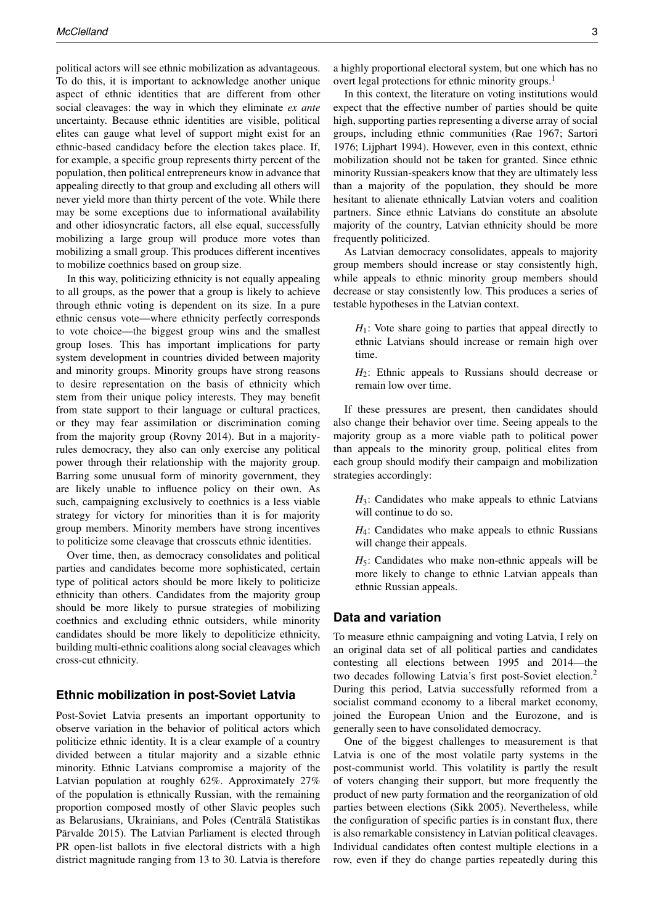political actors will see ethnic mobilization as advantageous. To do this, it is important to acknowledge another unique aspect of ethnic identities that are different from other social cleavages: the way in which they eliminate *ex ante* uncertainty. Because ethnic identities are visible, political elites can gauge what level of support might exist for an ethnic-based candidacy before the election takes place. If, for example, a specific group represents thirty percent of the population, then political entrepreneurs know in advance that appealing directly to that group and excluding all others will never yield more than thirty percent of the vote. While there may be some exceptions due to informational availability and other idiosyncratic factors, all else equal, successfully mobilizing a large group will produce more votes than mobilizing a small group. This produces different incentives to mobilize coethnics based on group size.

In this way, politicizing ethnicity is not equally appealing to all groups, as the power that a group is likely to achieve through ethnic voting is dependent on its size. In a pure ethnic census vote—where ethnicity perfectly corresponds to vote choice—the biggest group wins and the smallest group loses. This has important implications for party system development in countries divided between majority and minority groups. Minority groups have strong reasons to desire representation on the basis of ethnicity which stem from their unique policy interests. They may benefit from state support to their language or cultural practices, or they may fear assimilation or discrimination coming from the majority group [\(Rovny](#page-10-3) [2014\)](#page-10-3). But in a majorityrules democracy, they also can only exercise any political power through their relationship with the majority group. Barring some unusual form of minority government, they are likely unable to influence policy on their own. As such, campaigning exclusively to coethnics is a less viable strategy for victory for minorities than it is for majority group members. Minority members have strong incentives to politicize some cleavage that crosscuts ethnic identities.

Over time, then, as democracy consolidates and political parties and candidates become more sophisticated, certain type of political actors should be more likely to politicize ethnicity than others. Candidates from the majority group should be more likely to pursue strategies of mobilizing coethnics and excluding ethnic outsiders, while minority candidates should be more likely to depoliticize ethnicity, building multi-ethnic coalitions along social cleavages which cross-cut ethnicity.

# **Ethnic mobilization in post-Soviet Latvia**

Post-Soviet Latvia presents an important opportunity to observe variation in the behavior of political actors which politicize ethnic identity. It is a clear example of a country divided between a titular majority and a sizable ethnic minority. Ethnic Latvians compromise a majority of the Latvian population at roughly 62%. Approximately 27% of the population is ethnically Russian, with the remaining proportion composed mostly of other Slavic peoples such as Belarusians, Ukrainians, and Poles (Centrālā Statistikas Pārvalde [2015\)](#page-9-15). The Latvian Parliament is elected through PR open-list ballots in five electoral districts with a high district magnitude ranging from 13 to 30. Latvia is therefore

In this context, the literature on voting institutions would expect that the effective number of parties should be quite high, supporting parties representing a diverse array of social groups, including ethnic communities [\(Rae](#page-10-4) [1967;](#page-10-4) [Sartori](#page-10-5) [1976;](#page-10-5) [Lijphart](#page-9-16) [1994\)](#page-9-16). However, even in this context, ethnic mobilization should not be taken for granted. Since ethnic minority Russian-speakers know that they are ultimately less than a majority of the population, they should be more hesitant to alienate ethnically Latvian voters and coalition partners. Since ethnic Latvians do constitute an absolute majority of the country, Latvian ethnicity should be more frequently politicized.

As Latvian democracy consolidates, appeals to majority group members should increase or stay consistently high, while appeals to ethnic minority group members should decrease or stay consistently low. This produces a series of testable hypotheses in the Latvian context.

*H*<sub>1</sub>: Vote share going to parties that appeal directly to ethnic Latvians should increase or remain high over time.

*H*2: Ethnic appeals to Russians should decrease or remain low over time.

If these pressures are present, then candidates should also change their behavior over time. Seeing appeals to the majority group as a more viable path to political power than appeals to the minority group, political elites from each group should modify their campaign and mobilization strategies accordingly:

 $H_3$ : Candidates who make appeals to ethnic Latvians will continue to do so.

*H*<sub>4</sub>: Candidates who make appeals to ethnic Russians will change their appeals.

 $H_5$ : Candidates who make non-ethnic appeals will be more likely to change to ethnic Latvian appeals than ethnic Russian appeals.

## **Data and variation**

To measure ethnic campaigning and voting Latvia, I rely on an original data set of all political parties and candidates contesting all elections between 1995 and 2014—the two decades following Latvia's first post-Soviet election.<sup>2</sup> During this period, Latvia successfully reformed from a socialist command economy to a liberal market economy, joined the European Union and the Eurozone, and is generally seen to have consolidated democracy.

One of the biggest challenges to measurement is that Latvia is one of the most volatile party systems in the post-communist world. This volatility is partly the result of voters changing their support, but more frequently the product of new party formation and the reorganization of old parties between elections [\(Sikk](#page-10-6) [2005\)](#page-10-6). Nevertheless, while the configuration of specific parties is in constant flux, there is also remarkable consistency in Latvian political cleavages. Individual candidates often contest multiple elections in a row, even if they do change parties repeatedly during this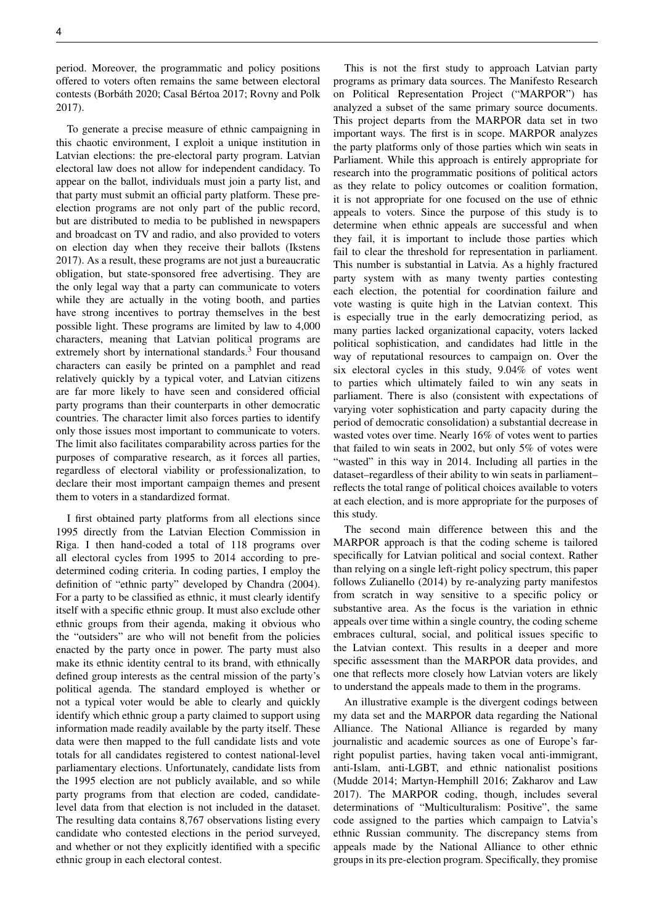period. Moreover, the programmatic and policy positions offered to voters often remains the same between electoral contests [\(Borbáth](#page-9-17) [2020;](#page-9-17) [Casal Bértoa](#page-9-18) [2017;](#page-9-18) [Rovny and Polk](#page-10-7) [2017\)](#page-10-7).

To generate a precise measure of ethnic campaigning in this chaotic environment, I exploit a unique institution in Latvian elections: the pre-electoral party program. Latvian electoral law does not allow for independent candidacy. To appear on the ballot, individuals must join a party list, and that party must submit an official party platform. These preelection programs are not only part of the public record, but are distributed to media to be published in newspapers and broadcast on TV and radio, and also provided to voters on election day when they receive their ballots [\(Ikstens](#page-9-19) [2017\)](#page-9-19). As a result, these programs are not just a bureaucratic obligation, but state-sponsored free advertising. They are the only legal way that a party can communicate to voters while they are actually in the voting booth, and parties have strong incentives to portray themselves in the best possible light. These programs are limited by law to 4,000 characters, meaning that Latvian political programs are extremely short by international standards.<sup>3</sup> Four thousand characters can easily be printed on a pamphlet and read relatively quickly by a typical voter, and Latvian citizens are far more likely to have seen and considered official party programs than their counterparts in other democratic countries. The character limit also forces parties to identify only those issues most important to communicate to voters. The limit also facilitates comparability across parties for the purposes of comparative research, as it forces all parties, regardless of electoral viability or professionalization, to declare their most important campaign themes and present them to voters in a standardized format.

I first obtained party platforms from all elections since 1995 directly from the Latvian Election Commission in Riga. I then hand-coded a total of 118 programs over all electoral cycles from 1995 to 2014 according to predetermined coding criteria. In coding parties, I employ the definition of "ethnic party" developed by [Chandra](#page-9-20) [\(2004\)](#page-9-20). For a party to be classified as ethnic, it must clearly identify itself with a specific ethnic group. It must also exclude other ethnic groups from their agenda, making it obvious who the "outsiders" are who will not benefit from the policies enacted by the party once in power. The party must also make its ethnic identity central to its brand, with ethnically defined group interests as the central mission of the party's political agenda. The standard employed is whether or not a typical voter would be able to clearly and quickly identify which ethnic group a party claimed to support using information made readily available by the party itself. These data were then mapped to the full candidate lists and vote totals for all candidates registered to contest national-level parliamentary elections. Unfortunately, candidate lists from the 1995 election are not publicly available, and so while party programs from that election are coded, candidatelevel data from that election is not included in the dataset. The resulting data contains 8,767 observations listing every candidate who contested elections in the period surveyed, and whether or not they explicitly identified with a specific ethnic group in each electoral contest.

This is not the first study to approach Latvian party programs as primary data sources. The Manifesto Research on Political Representation Project ("MARPOR") has analyzed a subset of the same primary source documents. This project departs from the MARPOR data set in two important ways. The first is in scope. MARPOR analyzes the party platforms only of those parties which win seats in Parliament. While this approach is entirely appropriate for research into the programmatic positions of political actors as they relate to policy outcomes or coalition formation, it is not appropriate for one focused on the use of ethnic appeals to voters. Since the purpose of this study is to determine when ethnic appeals are successful and when they fail, it is important to include those parties which fail to clear the threshold for representation in parliament. This number is substantial in Latvia. As a highly fractured party system with as many twenty parties contesting each election, the potential for coordination failure and vote wasting is quite high in the Latvian context. This is especially true in the early democratizing period, as many parties lacked organizational capacity, voters lacked political sophistication, and candidates had little in the way of reputational resources to campaign on. Over the six electoral cycles in this study, 9.04% of votes went to parties which ultimately failed to win any seats in parliament. There is also (consistent with expectations of varying voter sophistication and party capacity during the period of democratic consolidation) a substantial decrease in wasted votes over time. Nearly 16% of votes went to parties that failed to win seats in 2002, but only 5% of votes were "wasted" in this way in 2014. Including all parties in the dataset–regardless of their ability to win seats in parliament– reflects the total range of political choices available to voters at each election, and is more appropriate for the purposes of this study.

The second main difference between this and the MARPOR approach is that the coding scheme is tailored specifically for Latvian political and social context. Rather than relying on a single left-right policy spectrum, this paper follows [Zulianello](#page-10-8) [\(2014\)](#page-10-8) by re-analyzing party manifestos from scratch in way sensitive to a specific policy or substantive area. As the focus is the variation in ethnic appeals over time within a single country, the coding scheme embraces cultural, social, and political issues specific to the Latvian context. This results in a deeper and more specific assessment than the MARPOR data provides, and one that reflects more closely how Latvian voters are likely to understand the appeals made to them in the programs.

An illustrative example is the divergent codings between my data set and the MARPOR data regarding the National Alliance. The National Alliance is regarded by many journalistic and academic sources as one of Europe's farright populist parties, having taken vocal anti-immigrant, anti-Islam, anti-LGBT, and ethnic nationalist positions [\(Mudde](#page-10-9) [2014;](#page-10-9) [Martyn-Hemphill](#page-9-21) [2016;](#page-9-21) [Zakharov and Law](#page-10-10) [2017\)](#page-10-10). The MARPOR coding, though, includes several determinations of "Multiculturalism: Positive", the same code assigned to the parties which campaign to Latvia's ethnic Russian community. The discrepancy stems from appeals made by the National Alliance to other ethnic groups in its pre-election program. Specifically, they promise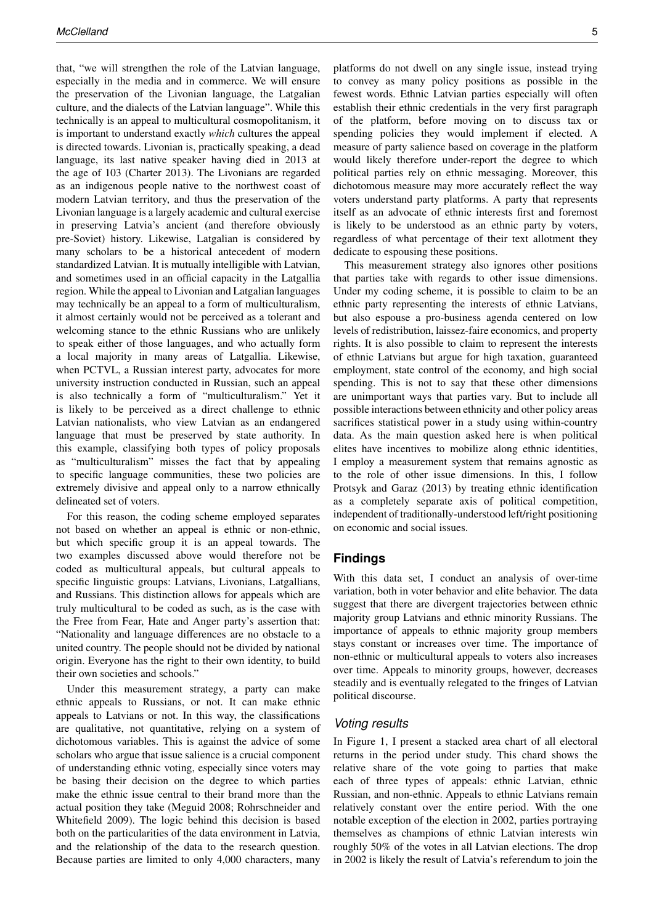that, "we will strengthen the role of the Latvian language, especially in the media and in commerce. We will ensure the preservation of the Livonian language, the Latgalian culture, and the dialects of the Latvian language". While this technically is an appeal to multicultural cosmopolitanism, it is important to understand exactly *which* cultures the appeal is directed towards. Livonian is, practically speaking, a dead language, its last native speaker having died in 2013 at the age of 103 [\(Charter](#page-9-22) [2013\)](#page-9-22). The Livonians are regarded as an indigenous people native to the northwest coast of modern Latvian territory, and thus the preservation of the Livonian language is a largely academic and cultural exercise in preserving Latvia's ancient (and therefore obviously pre-Soviet) history. Likewise, Latgalian is considered by many scholars to be a historical antecedent of modern standardized Latvian. It is mutually intelligible with Latvian, and sometimes used in an official capacity in the Latgallia region. While the appeal to Livonian and Latgalian languages may technically be an appeal to a form of multiculturalism, it almost certainly would not be perceived as a tolerant and welcoming stance to the ethnic Russians who are unlikely to speak either of those languages, and who actually form a local majority in many areas of Latgallia. Likewise, when PCTVL, a Russian interest party, advocates for more university instruction conducted in Russian, such an appeal is also technically a form of "multiculturalism." Yet it is likely to be perceived as a direct challenge to ethnic Latvian nationalists, who view Latvian as an endangered language that must be preserved by state authority. In this example, classifying both types of policy proposals as "multiculturalism" misses the fact that by appealing to specific language communities, these two policies are extremely divisive and appeal only to a narrow ethnically delineated set of voters.

For this reason, the coding scheme employed separates not based on whether an appeal is ethnic or non-ethnic, but which specific group it is an appeal towards. The two examples discussed above would therefore not be coded as multicultural appeals, but cultural appeals to specific linguistic groups: Latvians, Livonians, Latgallians, and Russians. This distinction allows for appeals which are truly multicultural to be coded as such, as is the case with the Free from Fear, Hate and Anger party's assertion that: "Nationality and language differences are no obstacle to a united country. The people should not be divided by national origin. Everyone has the right to their own identity, to build their own societies and schools."

Under this measurement strategy, a party can make ethnic appeals to Russians, or not. It can make ethnic appeals to Latvians or not. In this way, the classifications are qualitative, not quantitative, relying on a system of dichotomous variables. This is against the advice of some scholars who argue that issue salience is a crucial component of understanding ethnic voting, especially since voters may be basing their decision on the degree to which parties make the ethnic issue central to their brand more than the actual position they take [\(Meguid](#page-10-11) [2008;](#page-10-11) [Rohrschneider and](#page-10-12) [Whitefield](#page-10-12) [2009\)](#page-10-12). The logic behind this decision is based both on the particularities of the data environment in Latvia, and the relationship of the data to the research question. Because parties are limited to only 4,000 characters, many

platforms do not dwell on any single issue, instead trying to convey as many policy positions as possible in the fewest words. Ethnic Latvian parties especially will often establish their ethnic credentials in the very first paragraph of the platform, before moving on to discuss tax or spending policies they would implement if elected. A measure of party salience based on coverage in the platform would likely therefore under-report the degree to which political parties rely on ethnic messaging. Moreover, this dichotomous measure may more accurately reflect the way voters understand party platforms. A party that represents itself as an advocate of ethnic interests first and foremost is likely to be understood as an ethnic party by voters, regardless of what percentage of their text allotment they dedicate to espousing these positions.

This measurement strategy also ignores other positions that parties take with regards to other issue dimensions. Under my coding scheme, it is possible to claim to be an ethnic party representing the interests of ethnic Latvians, but also espouse a pro-business agenda centered on low levels of redistribution, laissez-faire economics, and property rights. It is also possible to claim to represent the interests of ethnic Latvians but argue for high taxation, guaranteed employment, state control of the economy, and high social spending. This is not to say that these other dimensions are unimportant ways that parties vary. But to include all possible interactions between ethnicity and other policy areas sacrifices statistical power in a study using within-country data. As the main question asked here is when political elites have incentives to mobilize along ethnic identities, I employ a measurement system that remains agnostic as to the role of other issue dimensions. In this, I follow [Protsyk and Garaz](#page-10-13) [\(2013\)](#page-10-13) by treating ethnic identification as a completely separate axis of political competition, independent of traditionally-understood left/right positioning on economic and social issues.

# **Findings**

With this data set, I conduct an analysis of over-time variation, both in voter behavior and elite behavior. The data suggest that there are divergent trajectories between ethnic majority group Latvians and ethnic minority Russians. The importance of appeals to ethnic majority group members stays constant or increases over time. The importance of non-ethnic or multicultural appeals to voters also increases over time. Appeals to minority groups, however, decreases steadily and is eventually relegated to the fringes of Latvian political discourse.

# *Voting results*

In Figure [1,](#page-5-0) I present a stacked area chart of all electoral returns in the period under study. This chard shows the relative share of the vote going to parties that make each of three types of appeals: ethnic Latvian, ethnic Russian, and non-ethnic. Appeals to ethnic Latvians remain relatively constant over the entire period. With the one notable exception of the election in 2002, parties portraying themselves as champions of ethnic Latvian interests win roughly 50% of the votes in all Latvian elections. The drop in 2002 is likely the result of Latvia's referendum to join the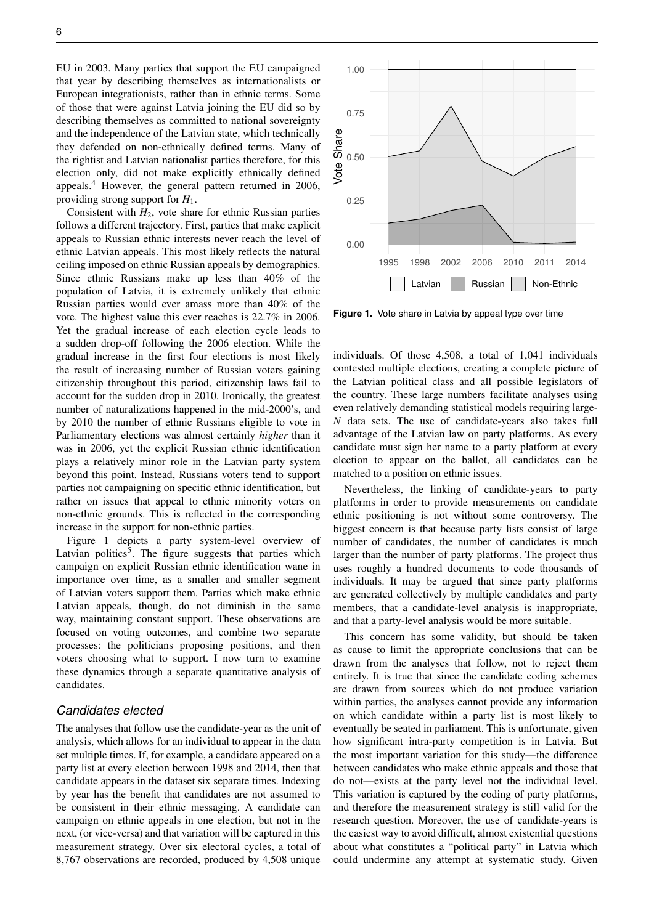EU in 2003. Many parties that support the EU campaigned that year by describing themselves as internationalists or European integrationists, rather than in ethnic terms. Some of those that were against Latvia joining the EU did so by describing themselves as committed to national sovereignty and the independence of the Latvian state, which technically they defended on non-ethnically defined terms. Many of the rightist and Latvian nationalist parties therefore, for this election only, did not make explicitly ethnically defined appeals.<sup>4</sup> However, the general pattern returned in 2006, providing strong support for *H*1.

Consistent with  $H_2$ , vote share for ethnic Russian parties follows a different trajectory. First, parties that make explicit appeals to Russian ethnic interests never reach the level of ethnic Latvian appeals. This most likely reflects the natural ceiling imposed on ethnic Russian appeals by demographics. Since ethnic Russians make up less than 40% of the population of Latvia, it is extremely unlikely that ethnic Russian parties would ever amass more than 40% of the vote. The highest value this ever reaches is 22.7% in 2006. Yet the gradual increase of each election cycle leads to a sudden drop-off following the 2006 election. While the gradual increase in the first four elections is most likely the result of increasing number of Russian voters gaining citizenship throughout this period, citizenship laws fail to account for the sudden drop in 2010. Ironically, the greatest number of naturalizations happened in the mid-2000's, and by 2010 the number of ethnic Russians eligible to vote in Parliamentary elections was almost certainly *higher* than it was in 2006, yet the explicit Russian ethnic identification plays a relatively minor role in the Latvian party system beyond this point. Instead, Russians voters tend to support parties not campaigning on specific ethnic identification, but rather on issues that appeal to ethnic minority voters on non-ethnic grounds. This is reflected in the corresponding increase in the support for non-ethnic parties.

Figure [1](#page-5-0) depicts a party system-level overview of Latvian politics<sup>5</sup>. The figure suggests that parties which campaign on explicit Russian ethnic identification wane in importance over time, as a smaller and smaller segment of Latvian voters support them. Parties which make ethnic Latvian appeals, though, do not diminish in the same way, maintaining constant support. These observations are focused on voting outcomes, and combine two separate processes: the politicians proposing positions, and then voters choosing what to support. I now turn to examine these dynamics through a separate quantitative analysis of candidates.

## *Candidates elected*

The analyses that follow use the candidate-year as the unit of analysis, which allows for an individual to appear in the data set multiple times. If, for example, a candidate appeared on a party list at every election between 1998 and 2014, then that candidate appears in the dataset six separate times. Indexing by year has the benefit that candidates are not assumed to be consistent in their ethnic messaging. A candidate can campaign on ethnic appeals in one election, but not in the next, (or vice-versa) and that variation will be captured in this measurement strategy. Over six electoral cycles, a total of 8,767 observations are recorded, produced by 4,508 unique

<span id="page-5-0"></span>

**Figure 1.** Vote share in Latvia by appeal type over time

individuals. Of those 4,508, a total of 1,041 individuals contested multiple elections, creating a complete picture of the Latvian political class and all possible legislators of the country. These large numbers facilitate analyses using even relatively demanding statistical models requiring large-*N* data sets. The use of candidate-years also takes full advantage of the Latvian law on party platforms. As every candidate must sign her name to a party platform at every election to appear on the ballot, all candidates can be matched to a position on ethnic issues.

Nevertheless, the linking of candidate-years to party platforms in order to provide measurements on candidate ethnic positioning is not without some controversy. The biggest concern is that because party lists consist of large number of candidates, the number of candidates is much larger than the number of party platforms. The project thus uses roughly a hundred documents to code thousands of individuals. It may be argued that since party platforms are generated collectively by multiple candidates and party members, that a candidate-level analysis is inappropriate, and that a party-level analysis would be more suitable.

This concern has some validity, but should be taken as cause to limit the appropriate conclusions that can be drawn from the analyses that follow, not to reject them entirely. It is true that since the candidate coding schemes are drawn from sources which do not produce variation within parties, the analyses cannot provide any information on which candidate within a party list is most likely to eventually be seated in parliament. This is unfortunate, given how significant intra-party competition is in Latvia. But the most important variation for this study—the difference between candidates who make ethnic appeals and those that do not—exists at the party level not the individual level. This variation is captured by the coding of party platforms, and therefore the measurement strategy is still valid for the research question. Moreover, the use of candidate-years is the easiest way to avoid difficult, almost existential questions about what constitutes a "political party" in Latvia which could undermine any attempt at systematic study. Given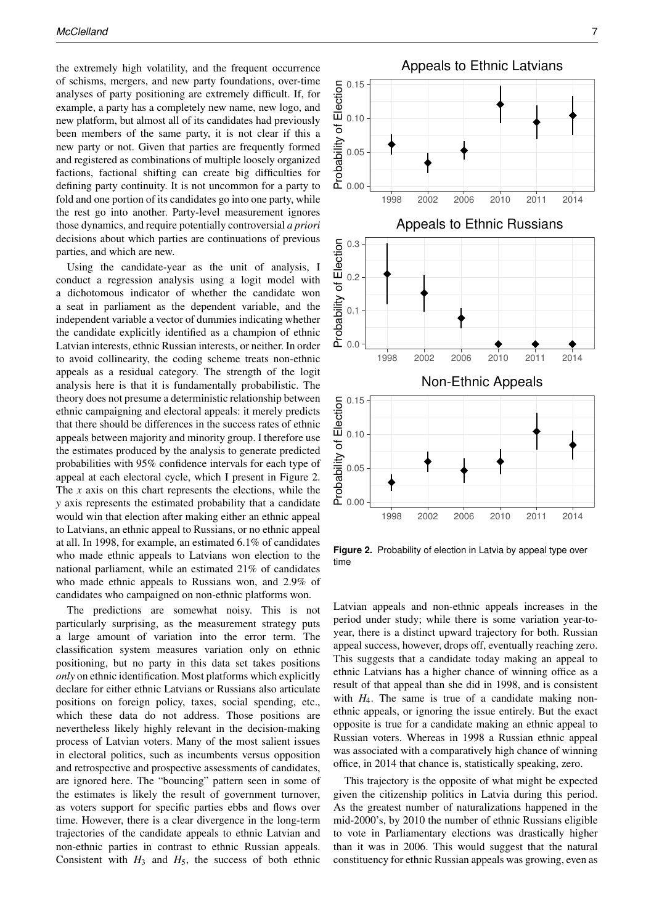the extremely high volatility, and the frequent occurrence of schisms, mergers, and new party foundations, over-time analyses of party positioning are extremely difficult. If, for example, a party has a completely new name, new logo, and new platform, but almost all of its candidates had previously been members of the same party, it is not clear if this a new party or not. Given that parties are frequently formed and registered as combinations of multiple loosely organized factions, factional shifting can create big difficulties for defining party continuity. It is not uncommon for a party to fold and one portion of its candidates go into one party, while the rest go into another. Party-level measurement ignores those dynamics, and require potentially controversial *a priori* decisions about which parties are continuations of previous parties, and which are new.

Using the candidate-year as the unit of analysis, I conduct a regression analysis using a logit model with a dichotomous indicator of whether the candidate won a seat in parliament as the dependent variable, and the independent variable a vector of dummies indicating whether the candidate explicitly identified as a champion of ethnic Latvian interests, ethnic Russian interests, or neither. In order to avoid collinearity, the coding scheme treats non-ethnic appeals as a residual category. The strength of the logit analysis here is that it is fundamentally probabilistic. The theory does not presume a deterministic relationship between ethnic campaigning and electoral appeals: it merely predicts that there should be differences in the success rates of ethnic appeals between majority and minority group. I therefore use the estimates produced by the analysis to generate predicted probabilities with 95% confidence intervals for each type of appeal at each electoral cycle, which I present in Figure [2.](#page-6-0) The *x* axis on this chart represents the elections, while the *y* axis represents the estimated probability that a candidate would win that election after making either an ethnic appeal to Latvians, an ethnic appeal to Russians, or no ethnic appeal at all. In 1998, for example, an estimated 6.1% of candidates who made ethnic appeals to Latvians won election to the national parliament, while an estimated 21% of candidates who made ethnic appeals to Russians won, and 2.9% of candidates who campaigned on non-ethnic platforms won.

The predictions are somewhat noisy. This is not particularly surprising, as the measurement strategy puts a large amount of variation into the error term. The classification system measures variation only on ethnic positioning, but no party in this data set takes positions *only* on ethnic identification. Most platforms which explicitly declare for either ethnic Latvians or Russians also articulate positions on foreign policy, taxes, social spending, etc., which these data do not address. Those positions are nevertheless likely highly relevant in the decision-making process of Latvian voters. Many of the most salient issues in electoral politics, such as incumbents versus opposition and retrospective and prospective assessments of candidates, are ignored here. The "bouncing" pattern seen in some of the estimates is likely the result of government turnover, as voters support for specific parties ebbs and flows over time. However, there is a clear divergence in the long-term trajectories of the candidate appeals to ethnic Latvian and non-ethnic parties in contrast to ethnic Russian appeals. Consistent with  $H_3$  and  $H_5$ , the success of both ethnic

<span id="page-6-0"></span>

**Figure 2.** Probability of election in Latvia by appeal type over time

Latvian appeals and non-ethnic appeals increases in the period under study; while there is some variation year-toyear, there is a distinct upward trajectory for both. Russian appeal success, however, drops off, eventually reaching zero. This suggests that a candidate today making an appeal to ethnic Latvians has a higher chance of winning office as a result of that appeal than she did in 1998, and is consistent with  $H_4$ . The same is true of a candidate making nonethnic appeals, or ignoring the issue entirely. But the exact opposite is true for a candidate making an ethnic appeal to Russian voters. Whereas in 1998 a Russian ethnic appeal was associated with a comparatively high chance of winning office, in 2014 that chance is, statistically speaking, zero.

This trajectory is the opposite of what might be expected given the citizenship politics in Latvia during this period. As the greatest number of naturalizations happened in the mid-2000's, by 2010 the number of ethnic Russians eligible to vote in Parliamentary elections was drastically higher than it was in 2006. This would suggest that the natural constituency for ethnic Russian appeals was growing, even as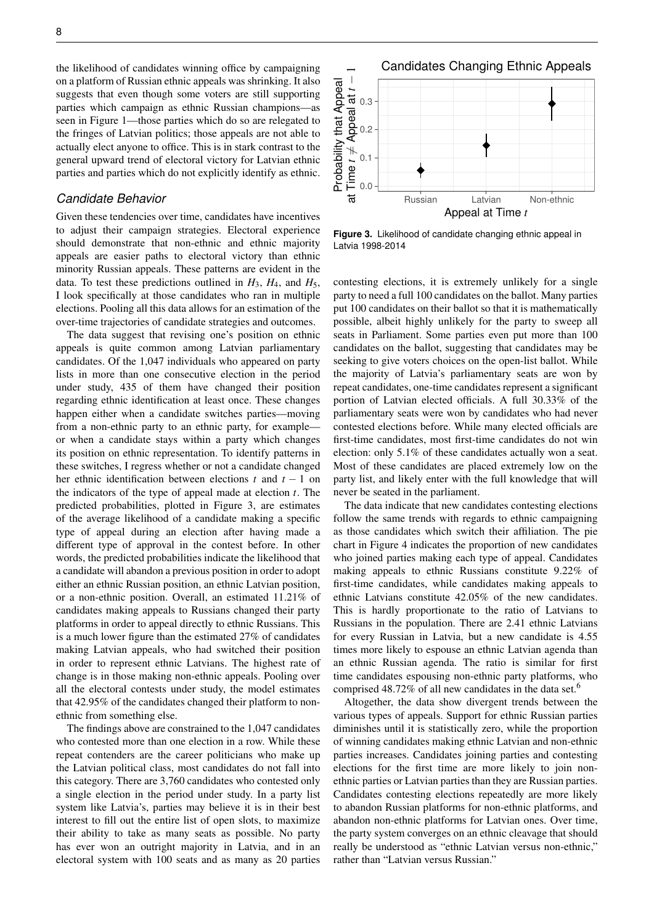the likelihood of candidates winning office by campaigning on a platform of Russian ethnic appeals was shrinking. It also suggests that even though some voters are still supporting parties which campaign as ethnic Russian champions—as seen in Figure [1—](#page-5-0)those parties which do so are relegated to the fringes of Latvian politics; those appeals are not able to actually elect anyone to office. This is in stark contrast to the general upward trend of electoral victory for Latvian ethnic parties and parties which do not explicitly identify as ethnic.

# *Candidate Behavior*

Given these tendencies over time, candidates have incentives to adjust their campaign strategies. Electoral experience should demonstrate that non-ethnic and ethnic majority appeals are easier paths to electoral victory than ethnic minority Russian appeals. These patterns are evident in the data. To test these predictions outlined in  $H_3$ ,  $H_4$ , and  $H_5$ , I look specifically at those candidates who ran in multiple elections. Pooling all this data allows for an estimation of the over-time trajectories of candidate strategies and outcomes.

The data suggest that revising one's position on ethnic appeals is quite common among Latvian parliamentary candidates. Of the 1,047 individuals who appeared on party lists in more than one consecutive election in the period under study, 435 of them have changed their position regarding ethnic identification at least once. These changes happen either when a candidate switches parties—moving from a non-ethnic party to an ethnic party, for example or when a candidate stays within a party which changes its position on ethnic representation. To identify patterns in these switches, I regress whether or not a candidate changed her ethnic identification between elections *t* and *t* − 1 on the indicators of the type of appeal made at election *t*. The predicted probabilities, plotted in Figure [3,](#page-7-0) are estimates of the average likelihood of a candidate making a specific type of appeal during an election after having made a different type of approval in the contest before. In other words, the predicted probabilities indicate the likelihood that a candidate will abandon a previous position in order to adopt either an ethnic Russian position, an ethnic Latvian position, or a non-ethnic position. Overall, an estimated 11.21% of candidates making appeals to Russians changed their party platforms in order to appeal directly to ethnic Russians. This is a much lower figure than the estimated 27% of candidates making Latvian appeals, who had switched their position in order to represent ethnic Latvians. The highest rate of change is in those making non-ethnic appeals. Pooling over all the electoral contests under study, the model estimates that 42.95% of the candidates changed their platform to nonethnic from something else.

The findings above are constrained to the 1,047 candidates who contested more than one election in a row. While these repeat contenders are the career politicians who make up the Latvian political class, most candidates do not fall into this category. There are 3,760 candidates who contested only a single election in the period under study. In a party list system like Latvia's, parties may believe it is in their best interest to fill out the entire list of open slots, to maximize their ability to take as many seats as possible. No party has ever won an outright majority in Latvia, and in an electoral system with 100 seats and as many as 20 parties

<span id="page-7-0"></span>

**Figure 3.** Likelihood of candidate changing ethnic appeal in Latvia 1998-2014

contesting elections, it is extremely unlikely for a single party to need a full 100 candidates on the ballot. Many parties put 100 candidates on their ballot so that it is mathematically possible, albeit highly unlikely for the party to sweep all seats in Parliament. Some parties even put more than 100 candidates on the ballot, suggesting that candidates may be seeking to give voters choices on the open-list ballot. While the majority of Latvia's parliamentary seats are won by repeat candidates, one-time candidates represent a significant portion of Latvian elected officials. A full 30.33% of the parliamentary seats were won by candidates who had never contested elections before. While many elected officials are first-time candidates, most first-time candidates do not win election: only 5.1% of these candidates actually won a seat. Most of these candidates are placed extremely low on the party list, and likely enter with the full knowledge that will never be seated in the parliament.

The data indicate that new candidates contesting elections follow the same trends with regards to ethnic campaigning as those candidates which switch their affiliation. The pie chart in Figure [4](#page-8-0) indicates the proportion of new candidates who joined parties making each type of appeal. Candidates making appeals to ethnic Russians constitute 9.22% of first-time candidates, while candidates making appeals to ethnic Latvians constitute 42.05% of the new candidates. This is hardly proportionate to the ratio of Latvians to Russians in the population. There are 2.41 ethnic Latvians for every Russian in Latvia, but a new candidate is 4.55 times more likely to espouse an ethnic Latvian agenda than an ethnic Russian agenda. The ratio is similar for first time candidates espousing non-ethnic party platforms, who comprised 48.72% of all new candidates in the data set.<sup>6</sup>

Altogether, the data show divergent trends between the various types of appeals. Support for ethnic Russian parties diminishes until it is statistically zero, while the proportion of winning candidates making ethnic Latvian and non-ethnic parties increases. Candidates joining parties and contesting elections for the first time are more likely to join nonethnic parties or Latvian parties than they are Russian parties. Candidates contesting elections repeatedly are more likely to abandon Russian platforms for non-ethnic platforms, and abandon non-ethnic platforms for Latvian ones. Over time, the party system converges on an ethnic cleavage that should really be understood as "ethnic Latvian versus non-ethnic," rather than "Latvian versus Russian."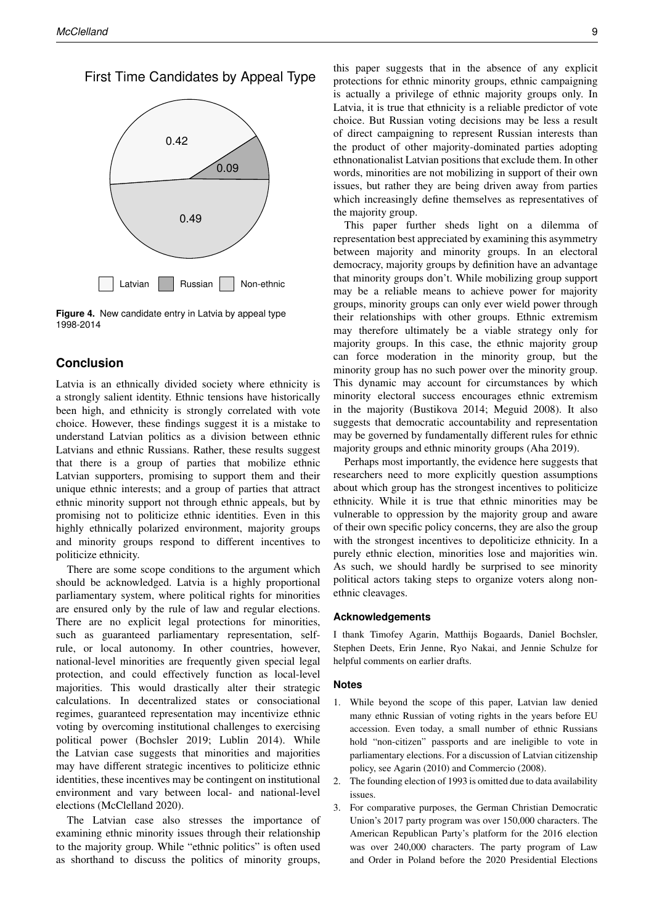<span id="page-8-0"></span>First Time Candidates by Appeal Type



**Figure 4.** New candidate entry in Latvia by appeal type 1998-2014

# **Conclusion**

Latvia is an ethnically divided society where ethnicity is a strongly salient identity. Ethnic tensions have historically been high, and ethnicity is strongly correlated with vote choice. However, these findings suggest it is a mistake to understand Latvian politics as a division between ethnic Latvians and ethnic Russians. Rather, these results suggest that there is a group of parties that mobilize ethnic Latvian supporters, promising to support them and their unique ethnic interests; and a group of parties that attract ethnic minority support not through ethnic appeals, but by promising not to politicize ethnic identities. Even in this highly ethnically polarized environment, majority groups and minority groups respond to different incentives to politicize ethnicity.

There are some scope conditions to the argument which should be acknowledged. Latvia is a highly proportional parliamentary system, where political rights for minorities are ensured only by the rule of law and regular elections. There are no explicit legal protections for minorities, such as guaranteed parliamentary representation, selfrule, or local autonomy. In other countries, however, national-level minorities are frequently given special legal protection, and could effectively function as local-level majorities. This would drastically alter their strategic calculations. In decentralized states or consociational regimes, guaranteed representation may incentivize ethnic voting by overcoming institutional challenges to exercising political power [\(Bochsler](#page-9-23) [2019;](#page-9-23) [Lublin](#page-9-24) [2014\)](#page-9-24). While the Latvian case suggests that minorities and majorities may have different strategic incentives to politicize ethnic identities, these incentives may be contingent on institutional environment and vary between local- and national-level elections [\(McClelland](#page-10-14) [2020\)](#page-10-14).

The Latvian case also stresses the importance of examining ethnic minority issues through their relationship to the majority group. While "ethnic politics" is often used as shorthand to discuss the politics of minority groups,

this paper suggests that in the absence of any explicit protections for ethnic minority groups, ethnic campaigning is actually a privilege of ethnic majority groups only. In Latvia, it is true that ethnicity is a reliable predictor of vote choice. But Russian voting decisions may be less a result of direct campaigning to represent Russian interests than the product of other majority-dominated parties adopting ethnonationalist Latvian positions that exclude them. In other words, minorities are not mobilizing in support of their own issues, but rather they are being driven away from parties which increasingly define themselves as representatives of the majority group.

This paper further sheds light on a dilemma of representation best appreciated by examining this asymmetry between majority and minority groups. In an electoral democracy, majority groups by definition have an advantage that minority groups don't. While mobilizing group support may be a reliable means to achieve power for majority groups, minority groups can only ever wield power through their relationships with other groups. Ethnic extremism may therefore ultimately be a viable strategy only for majority groups. In this case, the ethnic majority group can force moderation in the minority group, but the minority group has no such power over the minority group. This dynamic may account for circumstances by which minority electoral success encourages ethnic extremism in the majority [\(Bustikova](#page-9-25) [2014;](#page-9-25) [Meguid](#page-10-11) [2008\)](#page-10-11). It also suggests that democratic accountability and representation may be governed by fundamentally different rules for ethnic majority groups and ethnic minority groups [\(Aha](#page-9-26) [2019\)](#page-9-26).

Perhaps most importantly, the evidence here suggests that researchers need to more explicitly question assumptions about which group has the strongest incentives to politicize ethnicity. While it is true that ethnic minorities may be vulnerable to oppression by the majority group and aware of their own specific policy concerns, they are also the group with the strongest incentives to depoliticize ethnicity. In a purely ethnic election, minorities lose and majorities win. As such, we should hardly be surprised to see minority political actors taking steps to organize voters along nonethnic cleavages.

#### **Acknowledgements**

I thank Timofey Agarin, Matthijs Bogaards, Daniel Bochsler, Stephen Deets, Erin Jenne, Ryo Nakai, and Jennie Schulze for helpful comments on earlier drafts.

#### **Notes**

- 1. While beyond the scope of this paper, Latvian law denied many ethnic Russian of voting rights in the years before EU accession. Even today, a small number of ethnic Russians hold "non-citizen" passports and are ineligible to vote in parliamentary elections. For a discussion of Latvian citizenship policy, see [Agarin](#page-9-27) [\(2010\)](#page-9-27) and [Commercio](#page-9-28) [\(2008\)](#page-9-28).
- 2. The founding election of 1993 is omitted due to data availability issues.
- 3. For comparative purposes, the German Christian Democratic Union's 2017 party program was over 150,000 characters. The American Republican Party's platform for the 2016 election was over 240,000 characters. The party program of Law and Order in Poland before the 2020 Presidential Elections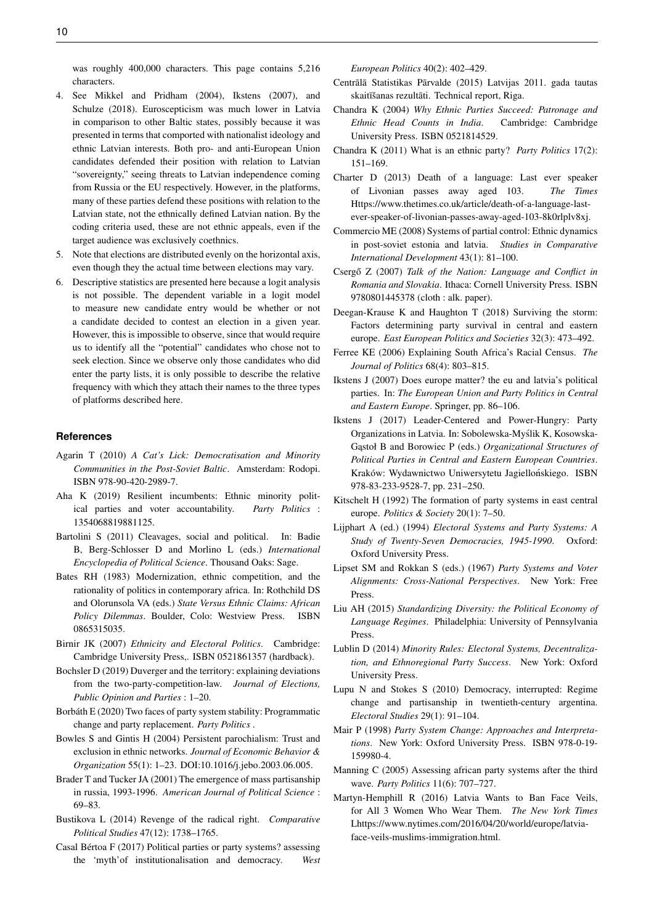was roughly 400,000 characters. This page contains 5,216 characters.

- 4. See [Mikkel and Pridham](#page-10-15) [\(2004\)](#page-10-15), [Ikstens](#page-9-29) [\(2007\)](#page-9-29), and [Schulze](#page-10-16) [\(2018\)](#page-10-16). Euroscepticism was much lower in Latvia in comparison to other Baltic states, possibly because it was presented in terms that comported with nationalist ideology and ethnic Latvian interests. Both pro- and anti-European Union candidates defended their position with relation to Latvian "sovereignty," seeing threats to Latvian independence coming from Russia or the EU respectively. However, in the platforms, many of these parties defend these positions with relation to the Latvian state, not the ethnically defined Latvian nation. By the coding criteria used, these are not ethnic appeals, even if the target audience was exclusively coethnics.
- 5. Note that elections are distributed evenly on the horizontal axis, even though they the actual time between elections may vary.
- 6. Descriptive statistics are presented here because a logit analysis is not possible. The dependent variable in a logit model to measure new candidate entry would be whether or not a candidate decided to contest an election in a given year. However, this is impossible to observe, since that would require us to identify all the "potential" candidates who chose not to seek election. Since we observe only those candidates who did enter the party lists, it is only possible to describe the relative frequency with which they attach their names to the three types of platforms described here.

#### **References**

- <span id="page-9-27"></span>Agarin T (2010) *A Cat's Lick: Democratisation and Minority Communities in the Post-Soviet Baltic*. Amsterdam: Rodopi. ISBN 978-90-420-2989-7.
- <span id="page-9-26"></span>Aha K (2019) Resilient incumbents: Ethnic minority political parties and voter accountability. *Party Politics* : 1354068819881125.
- <span id="page-9-8"></span>Bartolini S (2011) Cleavages, social and political. In: Badie B, Berg-Schlosser D and Morlino L (eds.) *International Encyclopedia of Political Science*. Thousand Oaks: Sage.
- <span id="page-9-0"></span>Bates RH (1983) Modernization, ethnic competition, and the rationality of politics in contemporary africa. In: Rothchild DS and Olorunsola VA (eds.) *State Versus Ethnic Claims: African Policy Dilemmas*. Boulder, Colo: Westview Press. ISBN 0865315035.
- <span id="page-9-4"></span>Birnir JK (2007) *Ethnicity and Electoral Politics*. Cambridge: Cambridge University Press,. ISBN 0521861357 (hardback).
- <span id="page-9-23"></span>Bochsler D (2019) Duverger and the territory: explaining deviations from the two-party-competition-law. *Journal of Elections, Public Opinion and Parties* : 1–20.
- <span id="page-9-17"></span>Borbáth E (2020) Two faces of party system stability: Programmatic change and party replacement. *Party Politics* .
- <span id="page-9-3"></span>Bowles S and Gintis H (2004) Persistent parochialism: Trust and exclusion in ethnic networks. *Journal of Economic Behavior & Organization* 55(1): 1–23. DOI:10.1016/j.jebo.2003.06.005.
- <span id="page-9-13"></span>Brader T and Tucker JA (2001) The emergence of mass partisanship in russia, 1993-1996. *American Journal of Political Science* : 69–83.
- <span id="page-9-25"></span>Bustikova L (2014) Revenge of the radical right. *Comparative Political Studies* 47(12): 1738–1765.
- <span id="page-9-18"></span>Casal Bértoa F (2017) Political parties or party systems? assessing the 'myth'of institutionalisation and democracy. *West*

*European Politics* 40(2): 402–429.

- <span id="page-9-15"></span>Centrālā Statistikas Pārvalde (2015) Latvijas 2011. gada tautas skaitīšanas rezultāti. Technical report, Riga.
- <span id="page-9-20"></span>Chandra K (2004) *Why Ethnic Parties Succeed: Patronage and Ethnic Head Counts in India*. Cambridge: Cambridge University Press. ISBN 0521814529.
- <span id="page-9-9"></span>Chandra K (2011) What is an ethnic party? *Party Politics* 17(2): 151–169.
- <span id="page-9-22"></span>Charter D (2013) Death of a language: Last ever speaker of Livonian passes away aged 103. *The Times* Https://www.thetimes.co.uk/article/death-of-a-language-lastever-speaker-of-livonian-passes-away-aged-103-8k0rlplv8xj.
- <span id="page-9-28"></span>Commercio ME (2008) Systems of partial control: Ethnic dynamics in post-soviet estonia and latvia. *Studies in Comparative International Development* 43(1): 81–100.
- <span id="page-9-1"></span>Csergő Z (2007) Talk of the Nation: Language and Conflict in *Romania and Slovakia*. Ithaca: Cornell University Press. ISBN 9780801445378 (cloth : alk. paper).
- <span id="page-9-6"></span>Deegan-Krause K and Haughton T (2018) Surviving the storm: Factors determining party survival in central and eastern europe. *East European Politics and Societies* 32(3): 473–492.
- <span id="page-9-5"></span>Ferree KE (2006) Explaining South Africa's Racial Census. *The Journal of Politics* 68(4): 803–815.
- <span id="page-9-29"></span>Ikstens J (2007) Does europe matter? the eu and latvia's political parties. In: *The European Union and Party Politics in Central and Eastern Europe*. Springer, pp. 86–106.
- <span id="page-9-19"></span>Ikstens J (2017) Leader-Centered and Power-Hungry: Party Organizations in Latvia. In: Sobolewska-Myslik K, Kosowska- ´ Gastoł B and Borowiec P (eds.) *Organizational Structures of Political Parties in Central and Eastern European Countries*. Kraków: Wydawnictwo Uniwersytetu Jagiellońskiego. ISBN 978-83-233-9528-7, pp. 231–250.
- <span id="page-9-12"></span>Kitschelt H (1992) The formation of party systems in east central europe. *Politics & Society* 20(1): 7–50.
- <span id="page-9-16"></span>Lijphart A (ed.) (1994) *Electoral Systems and Party Systems: A Study of Twenty-Seven Democracies, 1945-1990*. Oxford: Oxford University Press.
- <span id="page-9-7"></span>Lipset SM and Rokkan S (eds.) (1967) *Party Systems and Voter Alignments: Cross-National Perspectives*. New York: Free Press.
- <span id="page-9-2"></span>Liu AH (2015) *Standardizing Diversity: the Political Economy of Language Regimes*. Philadelphia: University of Pennsylvania Press.
- <span id="page-9-24"></span>Lublin D (2014) *Minority Rules: Electoral Systems, Decentralization, and Ethnoregional Party Success*. New York: Oxford University Press.
- <span id="page-9-14"></span>Lupu N and Stokes S (2010) Democracy, interrupted: Regime change and partisanship in twentieth-century argentina. *Electoral Studies* 29(1): 91–104.
- <span id="page-9-11"></span>Mair P (1998) *Party System Change: Approaches and Interpretations*. New York: Oxford University Press. ISBN 978-0-19- 159980-4.
- <span id="page-9-10"></span>Manning C (2005) Assessing african party systems after the third wave. *Party Politics* 11(6): 707–727.
- <span id="page-9-21"></span>Martyn-Hemphill R (2016) Latvia Wants to Ban Face Veils, for All 3 Women Who Wear Them. *The New York Times* Lhttps://www.nytimes.com/2016/04/20/world/europe/latviaface-veils-muslims-immigration.html.